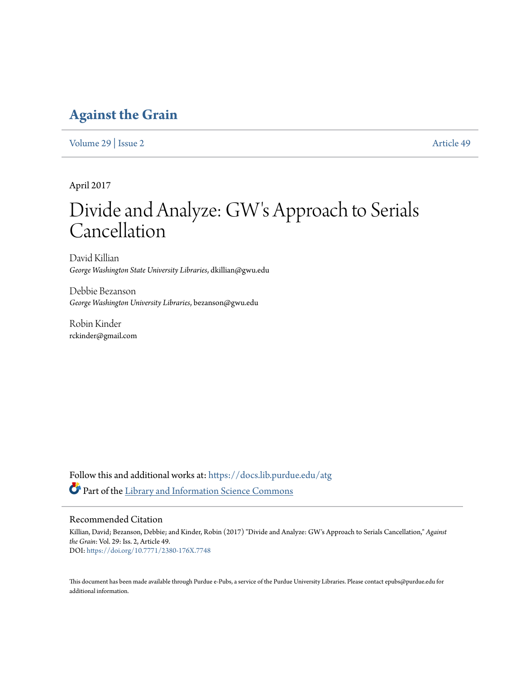# **[Against the Grain](https://docs.lib.purdue.edu/atg?utm_source=docs.lib.purdue.edu%2Fatg%2Fvol29%2Fiss2%2F49&utm_medium=PDF&utm_campaign=PDFCoverPages)**

[Volume 29](https://docs.lib.purdue.edu/atg/vol29?utm_source=docs.lib.purdue.edu%2Fatg%2Fvol29%2Fiss2%2F49&utm_medium=PDF&utm_campaign=PDFCoverPages) | [Issue 2](https://docs.lib.purdue.edu/atg/vol29/iss2?utm_source=docs.lib.purdue.edu%2Fatg%2Fvol29%2Fiss2%2F49&utm_medium=PDF&utm_campaign=PDFCoverPages) [Article 49](https://docs.lib.purdue.edu/atg/vol29/iss2/49?utm_source=docs.lib.purdue.edu%2Fatg%2Fvol29%2Fiss2%2F49&utm_medium=PDF&utm_campaign=PDFCoverPages)

April 2017

# Divide and Analyze: GW's Approach to Serials Cancellation

David Killian *George Washington State University Libraries*, dkillian@gwu.edu

Debbie Bezanson *George Washington University Libraries*, bezanson@gwu.edu

Robin Kinder rckinder@gmail.com

Follow this and additional works at: [https://docs.lib.purdue.edu/atg](https://docs.lib.purdue.edu/atg?utm_source=docs.lib.purdue.edu%2Fatg%2Fvol29%2Fiss2%2F49&utm_medium=PDF&utm_campaign=PDFCoverPages) Part of the [Library and Information Science Commons](http://network.bepress.com/hgg/discipline/1018?utm_source=docs.lib.purdue.edu%2Fatg%2Fvol29%2Fiss2%2F49&utm_medium=PDF&utm_campaign=PDFCoverPages)

## Recommended Citation

Killian, David; Bezanson, Debbie; and Kinder, Robin (2017) "Divide and Analyze: GW's Approach to Serials Cancellation," *Against the Grain*: Vol. 29: Iss. 2, Article 49. DOI: <https://doi.org/10.7771/2380-176X.7748>

This document has been made available through Purdue e-Pubs, a service of the Purdue University Libraries. Please contact epubs@purdue.edu for additional information.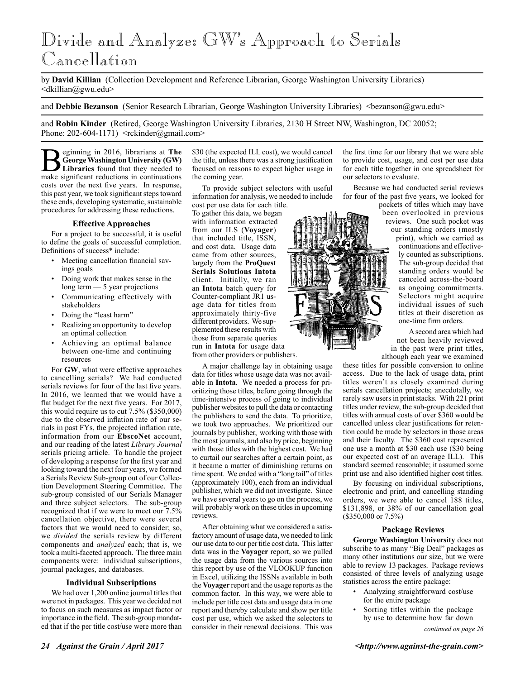# Divide and Analyze: GW's Approach to Serials Cancellation

by **David Killian** (Collection Development and Reference Librarian, George Washington University Libraries) <dkillian@gwu.edu>

and **Debbie Bezanson** (Senior Research Librarian, George Washington University Libraries) <br/>bezanson@gwu.edu>

and **Robin Kinder** (Retired, George Washington University Libraries, 2130 H Street NW, Washington, DC 20052; Phone:  $202-604-1171$ )  $\leq$ rckinder@gmail.com>

**B** George Washington University (GW) Libraries found that they needed to make significant reductions in continuations **George Washington University (GW)**  make significant reductions in continuations costs over the next five years. In response, this past year, we took significant steps toward these ends, developing systematic, sustainable procedures for addressing these reductions.

#### **Effective Approaches**

For a project to be successful, it is useful to define the goals of successful completion. Definitions of success\* include:

- Meeting cancellation financial savings goals
- Doing work that makes sense in the long term — 5 year projections
- Communicating effectively with stakeholders
- Doing the "least harm"
- Realizing an opportunity to develop an optimal collection
- Achieving an optimal balance between one-time and continuing resources

For **GW**, what were effective approaches to cancelling serials? We had conducted serials reviews for four of the last five years. In 2016, we learned that we would have a flat budget for the next five years. For 2017, this would require us to cut 7.5% (\$350,000) due to the observed inflation rate of our serials in past FYs, the projected inflation rate, information from our **EbscoNet** account, and our reading of the latest *Library Journal*  serials pricing article. To handle the project of developing a response for the first year and looking toward the next four years, we formed a Serials Review Sub-group out of our Collection Development Steering Committee. The sub-group consisted of our Serials Manager and three subject selectors. The sub-group recognized that if we were to meet our 7.5% cancellation objective, there were several factors that we would need to consider; so, we *divided* the serials review by different components and *analyzed* each; that is, we took a multi-faceted approach. The three main components were: individual subscriptions, journal packages, and databases.

#### **Individual Subscriptions**

We had over 1,200 online journal titles that were not in packages. This year we decided not to focus on such measures as impact factor or importance in the field. The sub-group mandated that if the per title cost/use were more than \$30 (the expected ILL cost), we would cancel the title, unless there was a strong justification focused on reasons to expect higher usage in the coming year.

To provide subject selectors with useful information for analysis, we needed to include cost per use data for each title.

To gather this data, we began with information extracted from our ILS (**Voyager**) that included title, ISSN, and cost data. Usage data came from other sources, largely from the **ProQuest Serials Solutions Intota** client. Initially, we ran an **Intota** batch query for Counter-compliant JR1 usage data for titles from approximately thirty-five different providers. We supplemented these results with those from separate queries run in **Intota** for usage data from other providers or publishers.

A major challenge lay in obtaining usage data for titles whose usage data was not available in **Intota**. We needed a process for prioritizing those titles, before going through the time-intensive process of going to individual publisher websites to pull the data or contacting the publishers to send the data. To prioritize, we took two approaches. We prioritized our journals by publisher, working with those with the most journals, and also by price, beginning with those titles with the highest cost. We had to curtail our searches after a certain point, as it became a matter of diminishing returns on time spent. We ended with a "long tail" of titles (approximately 100), each from an individual publisher, which we did not investigate. Since we have several years to go on the process, we will probably work on these titles in upcoming reviews.

After obtaining what we considered a satisfactory amount of usage data, we needed to link our use data to our per title cost data. This latter data was in the **Voyager** report, so we pulled the usage data from the various sources into this report by use of the VLOOKUP function in Excel, utilizing the ISSNs available in both the **Voyager** report and the usage reports as the common factor. In this way, we were able to include per title cost data and usage data in one report and thereby calculate and show per title cost per use, which we asked the selectors to consider in their renewal decisions. This was

the first time for our library that we were able to provide cost, usage, and cost per use data for each title together in one spreadsheet for our selectors to evaluate.

Because we had conducted serial reviews for four of the past five years, we looked for pockets of titles which may have

been overlooked in previous reviews. One such pocket was our standing orders (mostly print), which we carried as continuations and effectively counted as subscriptions. The sub-group decided that standing orders would be canceled across-the-board as ongoing commitments. Selectors might acquire individual issues of such titles at their discretion as one-time firm orders.

A second area which had not been heavily reviewed in the past were print titles, although each year we examined

these titles for possible conversion to online access. Due to the lack of usage data, print titles weren't as closely examined during serials cancellation projects; anecdotally, we rarely saw users in print stacks. With 221 print titles under review, the sub-group decided that titles with annual costs of over \$360 would be cancelled unless clear justifications for retention could be made by selectors in those areas and their faculty. The \$360 cost represented one use a month at \$30 each use (\$30 being our expected cost of an average ILL). This standard seemed reasonable; it assumed some print use and also identified higher cost titles.

By focusing on individual subscriptions, electronic and print, and cancelling standing orders, we were able to cancel 188 titles, \$131,898, or 38% of our cancellation goal  $($350,000 \text{ or } 7.5\%)$ 

#### **Package Reviews**

**George Washington University** does not subscribe to as many "Big Deal" packages as many other institutions our size, but we were able to review 13 packages. Package reviews consisted of three levels of analyzing usage statistics across the entire package:

- Analyzing straightforward cost/use for the entire package
- Sorting titles within the package by use to determine how far down